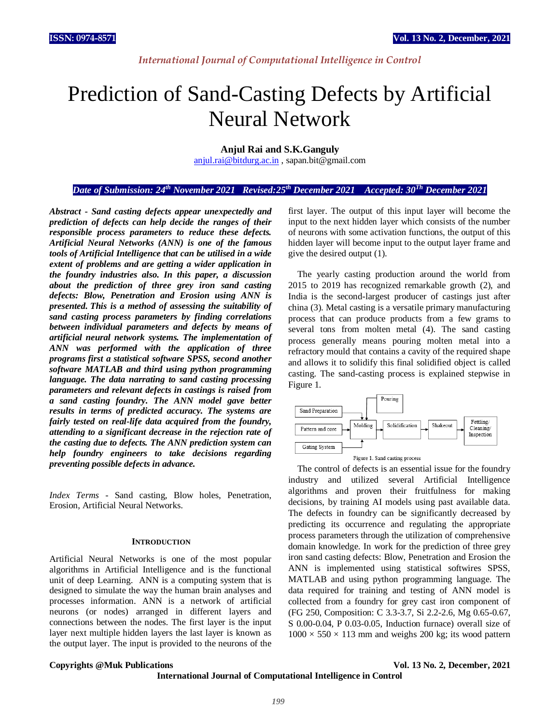# *International Journal of Computational Intelligence in Control*

# Prediction of Sand-Casting Defects by Artificial Neural Network

**Anjul Rai and S.K.Ganguly** 

[anjul.rai@bitdurg.ac.in](mailto:anjul.rai@bitdurg.ac.in) , sapan.bit@gmail.com

# *Date of Submission: 24th November 2021 Revised:25th December 2021 Accepted: 30Th December 2021*

*Abstract* **-** *Sand casting defects appear unexpectedly and prediction of defects can help decide the ranges of their responsible process parameters to reduce these defects. Artificial Neural Networks (ANN) is one of the famous tools of Artificial Intelligence that can be utilised in a wide extent of problems and are getting a wider application in the foundry industries also. In this paper, a discussion about the prediction of three grey iron sand casting defects: Blow, Penetration and Erosion using ANN is presented. This is a method of assessing the suitability of sand casting process parameters by finding correlations between individual parameters and defects by means of artificial neural network systems. The implementation of ANN was performed with the application of three programs first a statistical software SPSS, second another software MATLAB and third using python programming language. The data narrating to sand casting processing parameters and relevant defects in castings is raised from a sand casting foundry. The ANN model gave better results in terms of predicted accuracy. The systems are fairly tested on real-life data acquired from the foundry, attending to a significant decrease in the rejection rate of the casting due to defects. The ANN prediction system can help foundry engineers to take decisions regarding preventing possible defects in advance.*

*Index Terms* - Sand casting, Blow holes, Penetration, Erosion, Artificial Neural Networks.

#### **INTRODUCTION**

Artificial Neural Networks is one of the most popular algorithms in Artificial Intelligence and is the functional unit of deep Learning. ANN is a computing system that is designed to simulate the way the human brain analyses and processes information. ANN is a network of artificial neurons (or nodes) arranged in different layers and connections between the nodes. The first layer is the input layer next multiple hidden layers the last layer is known as the output layer. The input is provided to the neurons of the first layer. The output of this input layer will become the input to the next hidden layer which consists of the number of neurons with some activation functions, the output of this hidden layer will become input to the output layer frame and give the desired output (1).

The yearly casting production around the world from 2015 to 2019 has recognized remarkable growth (2), and India is the second-largest producer of castings just after china (3). Metal casting is a versatile primary manufacturing process that can produce products from a few grams to several tons from molten metal (4). The sand casting process generally means pouring molten metal into a refractory mould that contains a cavity of the required shape and allows it to solidify this final solidified object is called casting. The sand-casting process is explained stepwise in Figure 1.



The control of defects is an essential issue for the foundry industry and utilized several Artificial Intelligence algorithms and proven their fruitfulness for making decisions, by training AI models using past available data. The defects in foundry can be significantly decreased by predicting its occurrence and regulating the appropriate process parameters through the utilization of comprehensive domain knowledge. In work for the prediction of three grey iron sand casting defects: Blow, Penetration and Erosion the ANN is implemented using statistical softwires SPSS, MATLAB and using python programming language. The data required for training and testing of ANN model is collected from a foundry for grey cast iron component of (FG 250, Composition: C 3.3-3.7, Si 2.2-2.6, Mg 0.65-0.67, S 0.00-0.04, P 0.03-0.05, Induction furnace) overall size of  $1000 \times 550 \times 113$  mm and weighs 200 kg; its wood pattern

### **Copyrights @Muk Publications Vol. 13 No. 2, December, 2021**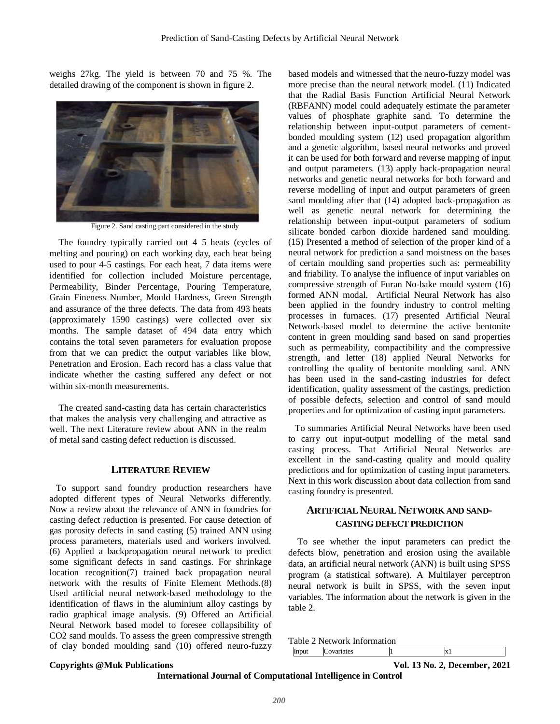weighs 27kg. The yield is between 70 and 75 %. The detailed drawing of the component is shown in figure 2.



Figure 2. Sand casting part considered in the study

The foundry typically carried out 4–5 heats (cycles of melting and pouring) on each working day, each heat being used to pour 4-5 castings. For each heat, 7 data items were identified for collection included Moisture percentage, Permeability, Binder Percentage, Pouring Temperature, Grain Fineness Number, Mould Hardness, Green Strength and assurance of the three defects. The data from 493 heats (approximately 1590 castings) were collected over six months. The sample dataset of 494 data entry which contains the total seven parameters for evaluation propose from that we can predict the output variables like blow, Penetration and Erosion. Each record has a class value that indicate whether the casting suffered any defect or not within six-month measurements.

The created sand-casting data has certain characteristics that makes the analysis very challenging and attractive as well. The next Literature review about ANN in the realm of metal sand casting defect reduction is discussed.

# **LITERATURE REVIEW**

To support sand foundry production researchers have adopted different types of Neural Networks differently. Now a review about the relevance of ANN in foundries for casting defect reduction is presented. For cause detection of gas porosity defects in sand casting (5) trained ANN using process parameters, materials used and workers involved. (6) Applied a backpropagation neural network to predict some significant defects in sand castings. For shrinkage location recognition(7) trained back propagation neural network with the results of Finite Element Methods.(8) Used artificial neural network-based methodology to the identification of flaws in the aluminium alloy castings by radio graphical image analysis. (9) Offered an Artificial Neural Network based model to foresee collapsibility of CO2 sand moulds. To assess the green compressive strength of clay bonded moulding sand (10) offered neuro-fuzzy

based models and witnessed that the neuro-fuzzy model was more precise than the neural network model. (11) Indicated that the Radial Basis Function Artificial Neural Network (RBFANN) model could adequately estimate the parameter values of phosphate graphite sand. To determine the relationship between input-output parameters of cementbonded moulding system (12) used propagation algorithm and a genetic algorithm, based neural networks and proved it can be used for both forward and reverse mapping of input and output parameters. (13) apply back-propagation neural networks and genetic neural networks for both forward and reverse modelling of input and output parameters of green sand moulding after that (14) adopted back-propagation as well as genetic neural network for determining the relationship between input-output parameters of sodium silicate bonded carbon dioxide hardened sand moulding. (15) Presented a method of selection of the proper kind of a neural network for prediction a sand moistness on the bases of certain moulding sand properties such as: permeability and friability. To analyse the influence of input variables on compressive strength of Furan No-bake mould system (16) formed ANN modal. Artificial Neural Network has also been applied in the foundry industry to control melting processes in furnaces. (17) presented Artificial Neural Network-based model to determine the active bentonite content in green moulding sand based on sand properties such as permeability, compactibility and the compressive strength, and letter (18) applied Neural Networks for controlling the quality of bentonite moulding sand. ANN has been used in the sand-casting industries for defect identification, quality assessment of the castings, prediction of possible defects, selection and control of sand mould properties and for optimization of casting input parameters.

To summaries Artificial Neural Networks have been used to carry out input-output modelling of the metal sand casting process. That Artificial Neural Networks are excellent in the sand-casting quality and mould quality predictions and for optimization of casting input parameters. Next in this work discussion about data collection from sand casting foundry is presented.

# **ARTIFICIAL NEURAL NETWORK AND SAND-CASTING DEFECT PREDICTION**

To see whether the input parameters can predict the defects blow, penetration and erosion using the available data, an artificial neural network (ANN) is built using SPSS program (a statistical software). A Multilayer perceptron neural network is built in SPSS, with the seven input variables. The information about the network is given in the table 2.

Table 2 Network Information

Input Covariates 1 x1

# **Copyrights @Muk Publications Vol. 13 No. 2, December, 2021**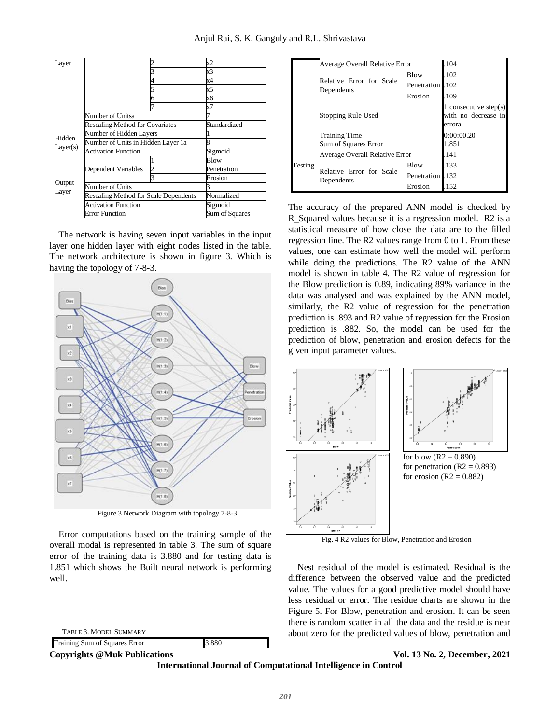| Layer              |                                              |                | x2          |
|--------------------|----------------------------------------------|----------------|-------------|
|                    |                                              |                | x3          |
|                    |                                              |                | x4          |
|                    |                                              |                | х5          |
|                    |                                              |                | хб          |
|                    |                                              |                | х7          |
|                    | Number of Unitsa                             |                |             |
|                    | <b>Rescaling Method for Covariates</b>       | Standardized   |             |
| Hidden<br>Layer(s) | Number of Hidden Layers                      |                |             |
|                    | Number of Units in Hidden Layer 1a           |                |             |
|                    | Activation Function                          | Sigmoid        |             |
| Output<br>Layer    |                                              |                | Blow        |
|                    | Dependent Variables                          |                | Penetration |
|                    |                                              |                | Erosion     |
|                    | Number of Units                              |                |             |
|                    | <b>Rescaling Method for Scale Dependents</b> | Normalized     |             |
|                    | <b>Activation Function</b>                   | Sigmoid        |             |
|                    | <b>Error Function</b>                        | Sum of Squares |             |

The network is having seven input variables in the input layer one hidden layer with eight nodes listed in the table. The network architecture is shown in figure 3. Which is having the topology of 7-8-3.



Figure 3 Network Diagram with topology 7-8-3

Error computations based on the training sample of the overall modal is represented in table 3. The sum of square error of the training data is 3.880 and for testing data is 1.851 which shows the Built neural network is performing well.

TABLE 3. MODEL SUMMARY

Training Sum of Squares Error 3.880

|         | Average Overall Relative Error         | 104                                                    |            |
|---------|----------------------------------------|--------------------------------------------------------|------------|
|         |                                        | Blow                                                   | .102       |
|         | Relative Error for Scale               | Penetration                                            | 102        |
|         | Dependents                             | Erosion                                                | .109       |
|         | Stopping Rule Used                     | 1 consecutive step(s)<br>with no decrease in<br>errora |            |
|         | <b>Training Time</b>                   |                                                        | 0:00:00.20 |
|         | Sum of Squares Error                   | 1.851                                                  |            |
| Testing | Average Overall Relative Error         | .141                                                   |            |
|         |                                        | Blow                                                   | .133       |
|         | Relative Error for Scale<br>Dependents | Penetration                                            | .132       |
|         |                                        | Erosion                                                | .152       |

The accuracy of the prepared ANN model is checked by R\_Squared values because it is a regression model. R2 is a statistical measure of how close the data are to the filled regression line. The R2 values range from 0 to 1. From these values, one can estimate how well the model will perform while doing the predictions. The R2 value of the ANN model is shown in table 4. The R2 value of regression for the Blow prediction is 0.89, indicating 89% variance in the data was analysed and was explained by the ANN model, similarly, the R2 value of regression for the penetration prediction is .893 and R2 value of regression for the Erosion prediction is .882. So, the model can be used for the prediction of blow, penetration and erosion defects for the given input parameter values.



Fig. 4 R2 values for Blow, Penetration and Erosion

Nest residual of the model is estimated. Residual is the difference between the observed value and the predicted value. The values for a good predictive model should have less residual or error. The residue charts are shown in the Figure 5. For Blow, penetration and erosion. It can be seen there is random scatter in all the data and the residue is near about zero for the predicted values of blow, penetration and

# **Copyrights @Muk Publications Vol. 13 No. 2, December, 2021**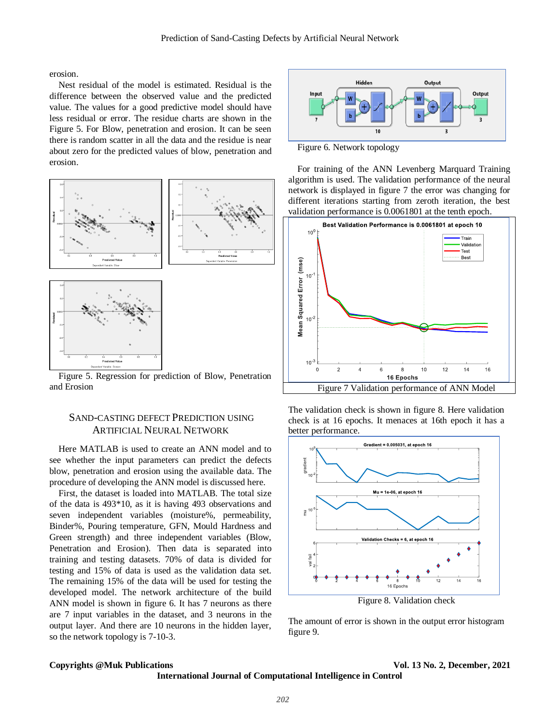erosion.

Nest residual of the model is estimated. Residual is the difference between the observed value and the predicted value. The values for a good predictive model should have less residual or error. The residue charts are shown in the Figure 5. For Blow, penetration and erosion. It can be seen there is random scatter in all the data and the residue is near about zero for the predicted values of blow, penetration and erosion.



Figure 5. Regression for prediction of Blow, Penetration and Erosion

# SAND-CASTING DEFECT PREDICTION USING ARTIFICIAL NEURAL NETWORK

Here MATLAB is used to create an ANN model and to see whether the input parameters can predict the defects blow, penetration and erosion using the available data. The procedure of developing the ANN model is discussed here.

First, the dataset is loaded into MATLAB. The total size of the data is 493\*10, as it is having 493 observations and seven independent variables (moisture%, permeability, Binder%, Pouring temperature, GFN, Mould Hardness and Green strength) and three independent variables (Blow, Penetration and Erosion). Then data is separated into training and testing datasets. 70% of data is divided for testing and 15% of data is used as the validation data set. The remaining 15% of the data will be used for testing the developed model. The network architecture of the build ANN model is shown in figure 6. It has 7 neurons as there are 7 input variables in the dataset, and 3 neurons in the output layer. And there are 10 neurons in the hidden layer, so the network topology is 7-10-3.



Figure 6. Network topology

For training of the ANN Levenberg Marquard Training algorithm is used. The validation performance of the neural network is displayed in figure 7 the error was changing for different iterations starting from zeroth iteration, the best validation performance is 0.0061801 at the tenth epoch.



The validation check is shown in figure 8. Here validation check is at 16 epochs. It menaces at 16th epoch it has a better performance.



Figure 8. Validation check

The amount of error is shown in the output error histogram figure 9.

### **Copyrights @Muk Publications Vol. 13 No. 2, December, 2021**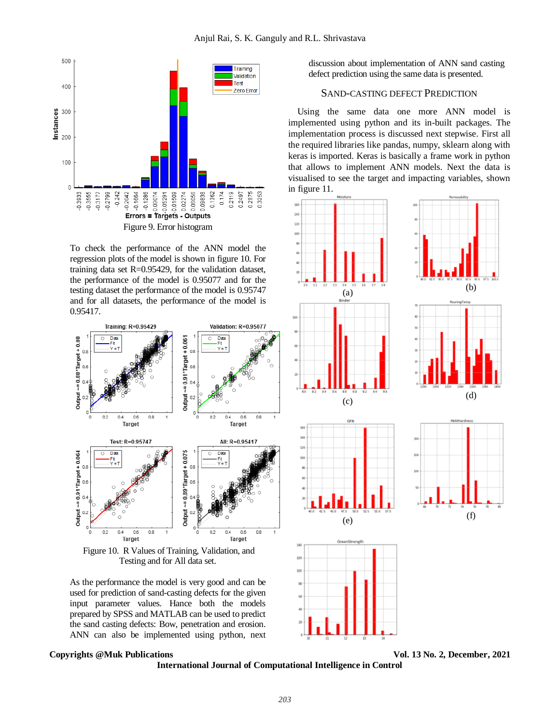

To check the performance of the ANN model the regression plots of the model is shown in figure 10. For training data set R=0.95429, for the validation dataset, the performance of the model is 0.95077 and for the testing dataset the performance of the model is 0.95747 and for all datasets, the performance of the model is 0.95417.



Figure 10. R Values of Training, Validation, and Testing and for All data set.

As the performance the model is very good and can be used for prediction of sand-casting defects for the given input parameter values. Hance both the models prepared by SPSS and MATLAB can be used to predict the sand casting defects: Bow, penetration and erosion. ANN can also be implemented using python, next

### **Copyrights @Muk Publications Vol. 13 No. 2, December, 2021**

discussion about implementation of ANN sand casting defect prediction using the same data is presented.

# SAND-CASTING DEFECT PREDICTION

Using the same data one more ANN model is implemented using python and its in-built packages. The implementation process is discussed next stepwise. First all the required libraries like pandas, numpy, sklearn along with keras is imported. Keras is basically a frame work in python that allows to implement ANN models. Next the data is visualised to see the target and impacting variables, shown in figure 11.



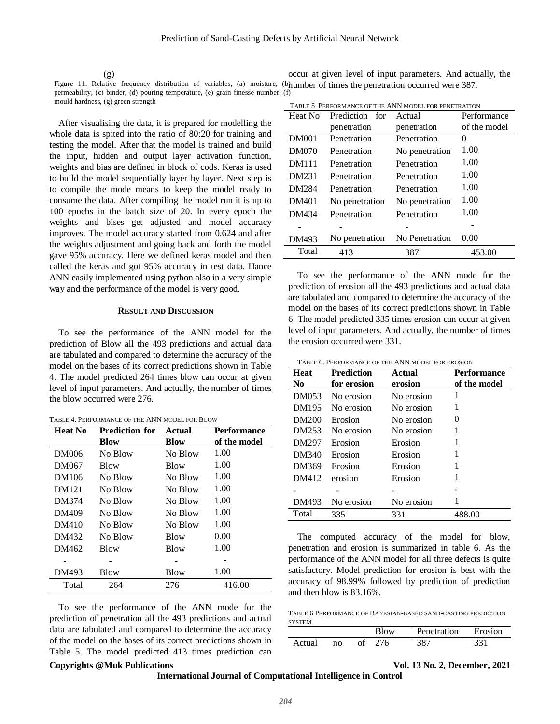(g)

Figure 11. Relative frequency distribution of variables, (a) moisture, (b) humber of times the penetration occurred were 387. permeability, (c) binder, (d) pouring temperature, (e) grain finesse number, (f) mould hardness, (g) green strength

After visualising the data, it is prepared for modelling the whole data is spited into the ratio of 80:20 for training and testing the model. After that the model is trained and build the input, hidden and output layer activation function, weights and bias are defined in block of cods. Keras is used to build the model sequentially layer by layer. Next step is to compile the mode means to keep the model ready to consume the data. After compiling the model run it is up to 100 epochs in the batch size of 20. In every epoch the weights and bises get adjusted and model accuracy improves. The model accuracy started from 0.624 and after the weights adjustment and going back and forth the model gave 95% accuracy. Here we defined keras model and then called the keras and got 95% accuracy in test data. Hance ANN easily implemented using python also in a very simple way and the performance of the model is very good.

### **RESULT AND DISCUSSION**

To see the performance of the ANN model for the prediction of Blow all the 493 predictions and actual data are tabulated and compared to determine the accuracy of the model on the bases of its correct predictions shown in Table 4. The model predicted 264 times blow can occur at given level of input parameters. And actually, the number of times the blow occurred were 276.

| TABLE 4. PERFORMANCE OF THE ANN MODEL FOR BLOW |
|------------------------------------------------|
|------------------------------------------------|

| <b>Heat No</b> | <b>Prediction for</b> | Actual      | <b>Performance</b> |  |
|----------------|-----------------------|-------------|--------------------|--|
|                | <b>Blow</b>           | <b>Blow</b> | of the model       |  |
| <b>DM006</b>   | No Blow               | No Blow     | 1.00               |  |
| DM067          | <b>Blow</b>           | Blow        | 1.00               |  |
| DM106          | No Blow               | No Blow     | 1.00               |  |
| DM121          | No Blow               | No Blow     | 1.00               |  |
| DM374          | No Blow               | No Blow     | 1.00               |  |
| DM409          | No Blow               | No Blow     | 1.00               |  |
| DM410          | No Blow               | No Blow     | 1.00               |  |
| DM432          | No Blow               | Blow        | 0.00               |  |
| DM462          | Blow                  | Blow        | 1.00               |  |
|                |                       |             |                    |  |
| DM493          | Blow                  | Blow        | 1.00               |  |
| Total          | 264                   | 276         | 416.00             |  |

To see the performance of the ANN mode for the prediction of penetration all the 493 predictions and actual data are tabulated and compared to determine the accuracy of the model on the bases of its correct predictions shown in Table 5. The model predicted 413 times prediction can

| TABLE 5. PERFORMANCE OF THE ANN MODEL FOR PENETRATION |                          |                |              |  |
|-------------------------------------------------------|--------------------------|----------------|--------------|--|
| Heat No                                               | Prediction for<br>Actual |                | Performance  |  |
|                                                       | penetration              | penetration    | of the model |  |
| <b>DM001</b>                                          | Penetration              | Penetration    | 0            |  |
| DM070                                                 | Penetration              | No penetration | 1.00         |  |
| <b>DM111</b>                                          | Penetration              | Penetration    | 1.00         |  |
| DM231                                                 | Penetration              | Penetration    | 1.00         |  |
| <b>DM284</b>                                          | Penetration              | Penetration    | 1.00         |  |
| DM401                                                 | No penetration           | No penetration | 1.00         |  |
| DM434                                                 | Penetration              | Penetration    | 1.00         |  |
|                                                       |                          |                |              |  |
| DM493                                                 | No penetration           | No Penetration | 0.00         |  |
| Total                                                 | 413                      | 387            | 453.00       |  |

occur at given level of input parameters. And actually, the

To see the performance of the ANN mode for the prediction of erosion all the 493 predictions and actual data are tabulated and compared to determine the accuracy of the model on the bases of its correct predictions shown in Table 6. The model predicted 335 times erosion can occur at given level of input parameters. And actually, the number of times the erosion occurred were 331.

TABLE 6. PERFORMANCE OF THE ANN MODEL FOR EROSION

| <b>Heat</b><br>No | <b>Prediction</b><br>for erosion | Actual<br>erosion | <b>Performance</b><br>of the model |
|-------------------|----------------------------------|-------------------|------------------------------------|
| DM053             | No erosion                       | No erosion        | 1                                  |
| DM195             | No erosion                       | No erosion        | 1                                  |
| DM200             | Erosion                          | No erosion        | $\theta$                           |
| DM253             | No erosion                       | No erosion        | 1                                  |
| DM297             | Erosion                          | Erosion           | 1                                  |
| DM340             | Erosion                          | Erosion           | 1                                  |
| DM369             | Erosion                          | Erosion           |                                    |
| DM412             | erosion                          | Erosion           | 1                                  |
|                   |                                  |                   |                                    |
| DM493             | No erosion                       | No erosion        |                                    |
| Total             | 335                              | 331               | 488.00                             |

The computed accuracy of the model for blow, penetration and erosion is summarized in table 6. As the performance of the ANN model for all three defects is quite satisfactory. Model prediction for erosion is best with the accuracy of 98.99% followed by prediction of prediction and then blow is 83.16%.

TABLE 6 PERFORMANCE OF BAYESIAN-BASED SAND-CASTING PREDICTION **SYSTEM** 

|        |    |    | Blow | Penetration | Erosion |
|--------|----|----|------|-------------|---------|
| Actual | no | ΩŤ | 276  | 387         | 331     |

#### **Copyrights @Muk Publications Vol. 13 No. 2, December, 2021**